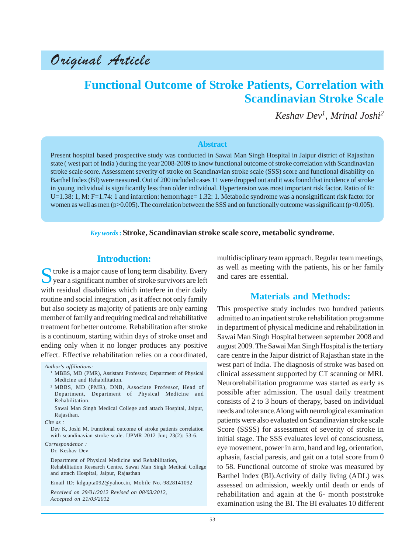# Original Article

# **Functional Outcome of Stroke Patients, Correlation with Scandinavian Stroke Scale**

*Keshav Dev1, Mrinal Joshi2*

### **Abstract**

Present hospital based prospective study was conducted in Sawai Man Singh Hospital in Jaipur district of Rajasthan state ( west part of India ) during the year 2008-2009 to know functional outcome of stroke correlation with Scandinavian stroke scale score. Assessment severity of stroke on Scandinavian stroke scale (SSS) score and functional disability on Barthel Index (BI) were neasured. Out of 200 included cases 11 were dropped out and it was found that incidence of stroke in young individual is significantly less than older individual. Hypertension was most important risk factor. Ratio of R: U=1.38: 1, M: F=1.74: 1 and infarction: hemorrhage= 1.32: 1. Metabolic syndrome was a nonsignificant risk factor for women as well as men ( $p>0.005$ ). The correlation between the SSS and on functionally outcome was significant ( $p<0.005$ ).

### *Key words* **:Stroke, Scandinavian stroke scale score, metabolic syndrome.**

# **Introduction:**

Stroke is a major cause of long term disability. Every<br>year a significant number of stroke survivors are left with residual disabilities which interfere in their daily routine and social integration , as it affect not only family but also society as majority of patients are only earning member of family and requiring medical and rehabilitative treatment for better outcome. Rehabilitation after stroke is a continuum, starting within days of stroke onset and ending only when it no longer produces any positive effect. Effective rehabilitation relies on a coordinated,

- <sup>1</sup> MBBS, MD (PMR), Assistant Professor, Department of Physical Medicine and Rehabilitation.
- <sup>2</sup> MBBS, MD (PMR), DNB, Associate Professor, Head of Department, Department of Physical Medicine and Rehabilitation.

*Cite as :*

Dev K, Joshi M. Functional outcome of stroke patients correlation with scandinavian stroke scale. IJPMR 2012 Jun; 23(2): 53-6.

*Correspondence :*

Dr. Keshav Dev

Department of Physical Medicine and Rehabilitation, Rehabilitation Research Centre, Sawai Man Singh Medical College and attach Hospital, Jaipur, Rajasthan

Email ID: kdgupta092@yahoo.in, Mobile No.-9828141092

*Received on 29/01/2012 Revised on 08/03/2012, Accepted on 21/03/2012*

multidisciplinary team approach. Regular team meetings, as well as meeting with the patients, his or her family and cares are essential.

# **Materials and Methods:**

This prospective study includes two hundred patients admitted to an inpatient stroke rehabilitation programme in department of physical medicine and rehabilitation in Sawai Man Singh Hospital between september 2008 and august 2009. The Sawai Man Singh Hospital is the tertiary care centre in the Jaipur district of Rajasthan state in the west part of India. The diagnosis of stroke was based on clinical assessment supported by CT scanning or MRI. Neurorehabilitation programme was started as early as possible after admission. The usual daily treatment consists of 2 to 3 hours of therapy, based on individual needs and tolerance.Along with neurological examination patients were also evaluated on Scandinavian stroke scale Score (SSSS) for assessment of severity of stroke in initial stage. The SSS evaluates level of consciousness, eye movement, power in arm, hand and leg, orientation, aphasia, fascial paresis, and gait on a total score from 0 to 58. Functional outcome of stroke was measured by Barthel Index (BI).Activity of daily living (ADL) was assessed on admission, weekly until death or ends of rehabilitation and again at the 6- month poststroke examination using the BI. The BI evaluates 10 different

*Author's affiliations:*

Sawai Man Singh Medical College and attach Hospital, Jaipur, Rajasthan.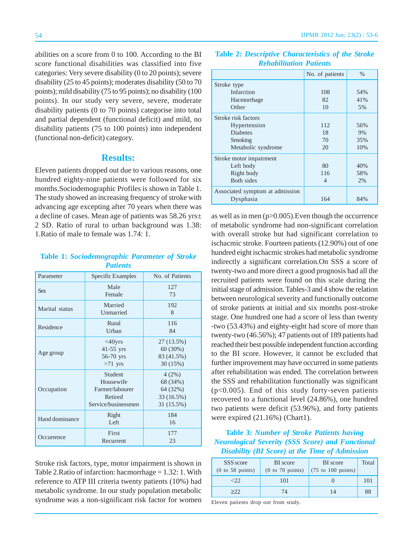abilities on a score from 0 to 100. According to the BI score functional disabilities was classified into five categories: Very severe disability (0 to 20 points); severe disability (25 to 45 points); moderates disability (50 to 70 points); mild disability (75 to 95 points); no disability (100 points). In our study very severe, severe, moderate disability patients (0 to 70 points) categorise into total and partial dependent (functional deficit) and mild, no disability patients (75 to 100 points) into independent (functional non-deficit) category.

## **Results:**

Eleven patients dropped out due to various reasons, one hundred eighty-nine patients were followed for six months.Sociodemographic Profiles is shown in Table 1. The study showed an increasing frequency of stroke with advancing age excepting after 70 years when there was a decline of cases. Mean age of patients was 58.26 yrs± 2 SD. Ratio of rural to urban background was 1.38: 1.Ratio of male to female was 1.74: 1.

## **Table 1:** *Sociodemographic Parameter of Stroke Patients*

| Parameter      | <b>Specific Examples</b>                                                         | No. of Patients                                           |  |
|----------------|----------------------------------------------------------------------------------|-----------------------------------------------------------|--|
| <b>Sex</b>     | Male<br>Female                                                                   | 127<br>73                                                 |  |
| Marital status | Married<br>Unmarried                                                             | 192<br>8                                                  |  |
| Residence      | Rural<br>Urban                                                                   | 116<br>84                                                 |  |
| Age group      | $<$ 40 $yrs$<br>$41-55$ yrs<br>56-70 yrs<br>$>71$ yrs                            | 27 (13.5%)<br>60(30%)<br>83 (41.5%)<br>30(15%)            |  |
| Occupation     | <b>Student</b><br>Housewife<br>Farmer/labourer<br>Retired<br>Service/businessmen | 4(2%)<br>68 (34%)<br>64 (32%)<br>33 (16.5%)<br>31 (15.5%) |  |
| Hand dominance | Right<br>Left                                                                    | 184<br>16                                                 |  |
| Occurrence     | First<br>Recurrent                                                               | 177<br>23                                                 |  |

Stroke risk factors, type, motor impairment is shown in Table 2.Ratio of infarction: hacmorrhage = 1.32: 1. With reference to ATP III criteria twenty patients (10%) had metabolic syndrome. In our study population metabolic syndrome was a non-significant risk factor for women

#### IJPMR 2012 Jun; 23(2) : 53-6

|                                 | No. of patients | $\%$ |
|---------------------------------|-----------------|------|
| Stroke type                     |                 |      |
| Infarction                      | 108             | 54%  |
| Hacmorrhage                     | 82              | 41%  |
| Other                           | 10              | 5%   |
| Stroke risk factors             |                 |      |
| Hypertension                    | 112             | 56%  |
| <b>Diabetes</b>                 | 18              | 9%   |
| Smoking                         | 70              | 35%  |
| Metabolic syndrome              | 20              | 10%  |
| Stroke motor impairment         |                 |      |
| Left body                       | 80              | 40%  |
| Right body                      | 116             | 58%  |
| <b>Both sides</b>               | 4               | 2%   |
| Associated symptom at admission |                 |      |
| Dysphasia                       | 164             | 84%  |

**Table 2:** *Descriptive Characteristics of the Stroke Rehabilitation Patients*

as well as in men (p>0.005).Even though the occurrence of metabolic syndrome had non-significant correlation with overall stroke but had significant correlation to ischacmic stroke. Fourteen patients (12.90%) out of one hundred eight ischacmic strokes had metabolic syndrome indirectly a significant correlation.On SSS a score of twenty-two and more direct a good prognosis had all the recruited patients were found on this scale during the initial stage of admission. Tables-3 and 4 show the relation between neurological severity and functionally outcome of stroke patients at initial and six months post-stroke stage. One hundred one had a score of less than twenty -two (53.43%) and eighty-eight had score of more than twenty-two (46.56%); 47 patients out of 189 patients had reached their best possible independent function according to the BI score. However, it cannot be excluded that further improvement may have occurred in some patients after rehabilitation was ended. The correlation between the SSS and rehabilitation functionally was significant  $(p<0.005)$ . End of this study forty-seven patients recovered to a functional level (24.86%), one hundred two patients were deficit (53.96%), and forty patients were expired  $(21.16%)$  (Chart1).

## **Table 3:** *Number of Stroke Patients having Neurological Severity (SSS Score) and Functional Disability (BI Score) at the Time of Admission*

| SSS score<br>(0 to 58 points) | <b>BI</b> score<br>(0 to 70 points) | <b>BI</b> score<br>$(75$ to 100 points) | Total |
|-------------------------------|-------------------------------------|-----------------------------------------|-------|
| <22                           | 101                                 |                                         | 101   |
| >22                           | 74                                  | 14                                      | 88    |

Eleven patients drop out from study.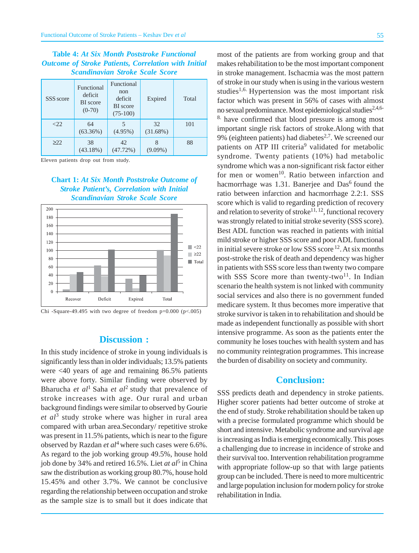## **Table 4:** *At Six Month Poststroke Functional Outcome of Stroke Patients, Correlation with Initial Scandinavian Stroke Scale Score*

| SSS score | Functional<br>deficit<br><b>BI</b> score<br>$(0-70)$ | Functional<br>non<br>deficit<br><b>BI</b> score<br>$(75-100)$ | Expired           | Total |
|-----------|------------------------------------------------------|---------------------------------------------------------------|-------------------|-------|
| $<$ 22    | 64<br>$(63.36\%)$                                    | $(4.95\%)$                                                    | 32<br>$(31.68\%)$ | 101   |
| >222      | 38<br>$(43.18\%)$                                    | 42<br>(47.72%)                                                | $(9.09\%)$        | 88    |

Eleven patients drop out from study.

## **Chart 1:** *At Six Month Poststroke Outcome of Stroke Patient's, Correlation with Initial Scandinavian Stroke Scale Score*



Chi -Square-49.495 with two degree of freedom  $p=0.000$  ( $p<0.005$ )

## **Discussion :**

In this study incidence of stroke in young individuals is significantly less than in older individuals; 13.5% patients were <40 years of age and remaining 86.5% patients were above forty. Similar finding were observed by Bharucha *et al*1 Saha *et al*2 study that prevalence of stroke increases with age. Our rural and urban background findings were similar to observed by Gourie *et al*3 study stroke where was higher in rural area compared with urban area.Secondary/ repetitive stroke was present in 11.5% patients, which is near to the figure observed by Razdan *et al*<sup>4</sup> where such cases were  $6.6\%$ . As regard to the job working group 49.5%, house hold job done by 34% and retired 16.5%. Liet *at al*5 in China saw the distribution as working group 80.7%, house hold 15.45% and other 3.7%. We cannot be conclusive regarding the relationship between occupation and stroke as the sample size is to small but it does indicate that

most of the patients are from working group and that makes rehabilitation to be the most important component in stroke management. Ischacmia was the most pattern of stroke in our study when is using in the various western studies<sup>1,6.</sup> Hypertension was the most important risk factor which was present in 56% of cases with almost no sexual predominance. Most epidemiological studies<sup>2,4,6-</sup> 8. have confirmed that blood pressure is among most important single risk factors of stroke.Along with that 9% (eighteen patients) had diabetes<sup>2,7</sup>. We screened our patients on ATP III criteria<sup>9</sup> validated for metabolic syndrome. Twenty patients (10%) had metabolic syndrome which was a non-significant risk factor either for men or women<sup>10</sup>. Ratio between infarction and hacmorrhage was  $1.31$ . Banerjee and Das<sup>6</sup> found the ratio between infarction and hacmorrhage 2.2:1. SSS score which is valid to regarding prediction of recovery and relation to severity of stroke<sup>11, 12</sup>, functional recovery was strongly related to initial stroke severity (SSS score). Best ADL function was reached in patients with initial mild stroke or higher SSS score and poor ADL functional in initial severe stroke or low SSS score  $^{12}$ . At six months post-stroke the risk of death and dependency was higher in patients with SSS score less than twenty two compare with SSS Score more than twenty-two<sup>11</sup>. In Indian scenario the health system is not linked with community social services and also there is no government funded medicare system. It thus becomes more imperative that stroke survivor is taken in to rehabilitation and should be made as independent functionally as possible with short intensive programme. As soon as the patients enter the community he loses touches with health system and has no community reintegration programmes. This increase the burden of disability on society and community.

## **Conclusion:**

SSS predicts death and dependency in stroke patients. Higher scorer patients had better outcome of stroke at the end of study. Stroke rehabilitation should be taken up with a precise formulated programme which should be short and intensive. Metabolic syndrome and survival age is increasing as India is emerging economically. This poses a challenging due to increase in incidence of stroke and their survival too. Intervention rehabilitation programme with appropriate follow-up so that with large patients group can be included. There is need to more multicentric and large population inclusion for modern policy for stroke rehabilitation in India.